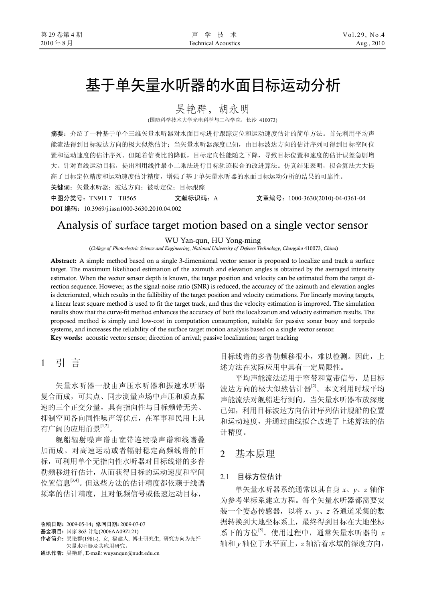# 基于单矢量水听器的水面目标运动分析

吴艳群,胡永明

(国防科学技术大学光电科学与工程学院,长沙 410073)

摘要:介绍了一种基于单个三维矢量水听器对水面目标进行跟踪定位和运动速度估计的简单方法。首先利用平均声 能流法得到目标波达方向的极大似然估计;当矢量水听器深度已知,由目标波达方向的估计序列可得到目标空间位 置和运动速度的估计序列。但随着信噪比的降低,目标定向性能随之下降,导致目标位置和速度的估计误差急剧增 大。针对直线运动目标,提出利用线性最小二乘法进行目标轨迹拟合的改进算法。仿真结果表明,拟合算法大大提 高了目标定位精度和运动速度估计精度,增强了基于单矢量水听器的水面目标运动分析的结果的可靠性。

关键词:矢量水听器;波达方向;被动定位;目标跟踪

中图分类号:TN911.7 TB565 文献标识码:A 文章编号:1000-3630(2010)-04-0361-04 **DOI** 编码:10.3969/j.issn1000-3630.2010.04.002

Analysis of surface target motion based on a single vector sensor

WU Yan-qun, HU Yong-ming

(*College of Photoelectric Science and Engineering*, *National University of Defence Technology*, *Changsha* 410073, *China*)

Abstract: A simple method based on a single 3-dimensional vector sensor is proposed to localize and track a surface target. The maximum likelihood estimation of the azimuth and elevation angles is obtained by the averaged intensity estimator. When the vector sensor depth is known, the target position and velocity can be estimated from the target direction sequence. However, as the signal-noise ratio (SNR) is reduced, the accuracy of the azimuth and elevation angles is deteriorated, which results in the fallibility of the target position and velocity estimations. For linearly moving targets, a linear least square method is used to fit the target track, and thus the velocity estimation is improved. The simulation results show that the curve-fit method enhances the accuracy of both the localization and velocity estimation results. The proposed method is simply and low-cost in computation consumption, suitable for passive sonar buoy and torpedo systems, and increases the reliability of the surface target motion analysis based on a single vector sensor. Key words: acoustic vector sensor; direction of arrival; passive localization; target tracking

1引 言

 $\overline{a}$ 

矢量水听器一般由声压水听器和振速水听器 复合而成,可共点、同步测量声场中声压和质点振 速的三个正交分量,具有指向性与目标频带无关、 抑制空间各向同性噪声等优点,在军事和民用上具 有广阔的应用前景[1,2]。

舰船辐射噪声谱由宽带连续噪声谱和线谱叠 加而成。对高速运动或者辐射稳定高频线谱的目 标,可利用单个无指向性水听器对目标线谱的多普 勒频移进行估计,从而获得目标的运动速度和空间 位置信息[3,4]。但这些方法的估计精度都依赖于线谱 频率的估计精度,且对低频信号或低速运动目标,

目标线谱的多普勒频移很小,难以检测。因此,上 述方法在实际应用中具有一定局限性。

平均声能流法适用于窄带和宽带信号, 是目标 波达方向的极大似然估计器[2]。本文利用时域平均 声能流法对舰船进行测向,当矢量水听器布放深度 已知,利用目标波达方向估计序列估计舰船的位置 和运动速度,并通过曲线拟合改进了上述算法的估 计精度。

## 2基本原理

#### 2.1 目标方位估计

单矢量水听器系统通常以其自身 *x*、*y*、*z* 轴作 为参考坐标系建立方程。每个矢量水听器都需要安 装一个姿态传感器,以将 *x*、*y*、*z* 各通道采集的数 据转换到大地坐标系上,最终得到目标在大地坐标 系下的方位[5]。使用过程中,通常矢量水听器的 *x* 轴和 *y* 轴位于水平面上,*z* 轴沿着水域的深度方向,

收稿日期: 2009-05-14; 修回日期: 2009-07-07

基金项目: 国家 863 计划(2006AA09Z121)

作者简介: 吴艳群(1981-), 女, 福建人, 博士研究生, 研究方向为光纤 矢量水听器及其应用研究。

通讯作者: 吴艳群, E-mail: wuyanqun@nudt.edu.cn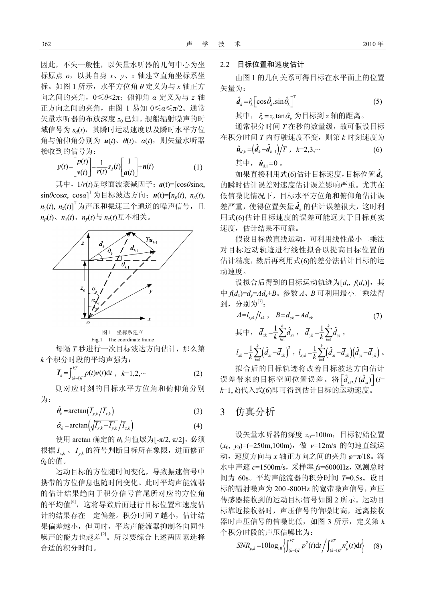因此,不失一般性,以矢量水听器的几何中心为坐 标原点 *o*,以其自身 *x*、*y*、*z* 轴建立直角坐标系坐 标。如图 1 所示,水平方位角 *θ* 定义为与 *x* 轴正方 向之间的夹角,0≤*θ*<2π;俯仰角 *α* 定义为与 *z* 轴 正方向之间的夹角,由图 1 易知 0≤*α*≤π/2。通常 矢量水听器的布放深度 *z*<sup>0</sup> 已知。舰船辐射噪声的时 域信号为 sa(t), 其瞬时运动速度以及瞬时水平方位 角与俯仰角分别为 *u*(*t*)、*θ*(*t*)、*α*(*t*),则矢量水听器 接收到的信号为:

$$
y(t) = \begin{bmatrix} p(t) \\ y(t) \end{bmatrix} = \frac{1}{r(t)} s_d(t) \begin{bmatrix} 1 \\ a(t) \end{bmatrix} + n(t)
$$
 (1)

其中,1/*r*(*t*)是球面波衰减因子;*a*(t)=[cos*θ*sin*α*, sin*θ*cos*α*, cos*α*] T 为目标波达方向;*n*(t)=[*np*(*t*), *nx*(*t*),  $n_{\mathbf{y}}(t)$ ,  $n_{\mathbf{z}}(t) ]^{\mathsf{T}}$ 为声压和振速三个通道的噪声信号,且  $n_p(t)$ 、 $n_x(t)$ 、 $n_y(t)$ 与 $n_z(t)$ 互不相关。



图 1 坐标系建立 Fig.1 The coordinate frame

每隔 *T* 秒进行一次目标波达方向估计,那么第 *k* 个积分时段的平均声强为:

$$
\overline{I}_k = \int_{(k-1)T}^{kT} p(t) \mathbf{v}(t) \mathrm{d}t \ , \ k=1,2,\cdots \tag{2}
$$

则对应时刻的目标水平方位角和俯仰角分别 为:

$$
\hat{\theta}_k = \arctan(\overline{I}_{y,k}/\overline{I}_{x,k})
$$
\n(3)

$$
\hat{\alpha}_k = \arctan\left(\sqrt{I_{x,k}^2 + I_{y,k}^2}/\overline{I}_{z,k}\right) \tag{4}
$$

使用 arctan 确定的 *θk*角值域为[-π/2, π/2],必须 根据 *<sup>x</sup>*,*<sup>k</sup> I* 、 *y k*, *I* 的符号判断目标所在象限,进而修正 *θk*的值。

运动目标的方位随时间变化,导致振速信号中 携带的方位信息也随时间变化。此时平均声能流器 的估计结果趋向于积分信号首尾所对应的方位角 的平均值[6],这将导致后面进行目标位置和速度估 计的结果存在一定偏差。积分时间 *T* 越小,估计结 果偏差越小,但同时,平均声能流器抑制各向同性 噪声的能力也越差[2]。所以要综合上述两因素选择 合适的积分时间。

#### 2.2 目标位置和速度估计

由图 1 的几何关系可得目标在水平面上的位置 矢量为:

$$
\hat{\boldsymbol{d}}_k = \hat{r}_k \left[ \cos \hat{\theta}_k, \sin \hat{\theta}_k \right]^{\mathrm{T}} \tag{5}
$$

其中,  $\hat{r}_k = z_0 \tan \hat{\alpha}_k$  为目标到  $z$  轴的距离。

通常积分时间 *T* 在秒的数量级, 故可假设目标 在积分时间 *T* 内行驶速度不变,则第 *k* 时刻速度为

$$
\hat{u}_{d,k} = \left(\hat{d}_k - \hat{d}_{k-1}\right) / T \, , \, k = 2, 3, \cdots \tag{6}
$$

其中,  $\hat{u}_{d} = 0$ .

如果直接利用式(6)估计目标速度,目标位置 $\hat{\boldsymbol{d}}_{\boldsymbol{k}}$ 的瞬时估计误差对速度估计误差影响严重。尤其在 低信噪比情况下,目标水平方位角和俯仰角估计误 差严重,使得位置矢量 $\hat{\textit{d}}_{\textit{k}}$ 的估计误差很大,这时利 用式(6)估计目标速度的误差可能远大于目标真实 速度,估计结果不可靠。

假设目标做直线运动,可利用线性最小二乘法 对目标运动轨迹进行线性拟合以提高目标位置的 估计精度,然后再利用式(6)的差分法估计目标的运 动速度。

设拟合后得到的目标运动轨迹为[dx, f(dx)], 其 中 *f*(*dx*)=*dy*=*Adx*+*B*。参数 *A*、*B* 可利用最小二乘法得 到,分别为[7]:

$$
A = l_{xyk}/l_{xk} , B = \overline{d}_{yk} - A \overline{d}_{xk}
$$
(7)  

$$
\nexists \Box \forall r, \quad \overline{d}_{xk} = \frac{1}{k} \sum_{i=1}^{k} \hat{d}_{xi} , \quad \overline{d}_{yk} = \frac{1}{k} \sum_{i=1}^{k} \hat{d}_{yi} ,
$$
  

$$
l_{xk} = \frac{1}{k} \sum_{i=1}^{k} (\hat{d}_{xi} - \overline{d}_{xk})^{2} , \quad l_{xyk} = \frac{1}{k} \sum_{i=1}^{k} (\hat{d}_{xi} - \overline{d}_{xk}) (\hat{d}_{yi} - \overline{d}_{yk}) .
$$

拟合后的目标轨迹将改善目标波达方向估计 误差带来的目标空间位置误差。将 $\left[\hat{d}_x, f(\hat{d}_x)\right]$  (*i*= *k*-1, *k*)代入式(6)即可得到估计目标的运动速度。

## 3 仿真分析

设矢量水听器的深度 *z*0=100m,目标初始位置 (*x*0, *y*0)=(−250m,100m),做 *v*=12m/s 的匀速直线运 动,速度方向与 *x* 轴正方向之间的夹角 *φ*=π/18。海 水中声速 *c*=1500m/s,采样率 *fs*=6000Hz,观测总时 间为 60s。平均声能流器的积分时间 *T*=0.5s。设目 标的辐射噪声为 200~800Hz 的宽带噪声信号,声压 传感器接收到的运动目标信号如图 2 所示。运动目 标靠近接收器时,声压信号的信噪比高,远离接收 器时声压信号的信噪比低,如图 3 所示, 定义第 k 个积分时段的声压信噪比为:

$$
SNR_{p,k} = 10\log_{10}\left\{\int_{(k-1)T}^{kT} p^2(t)dt / \int_{(k-1)T}^{kT} n_p^2(t)dt\right\} \tag{8}
$$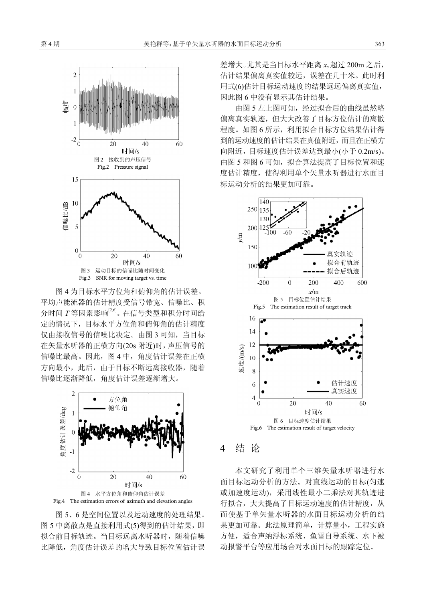

图 4 为目标水平方位角和俯仰角的估计误差。 平均声能流器的估计精度受信号带宽、信噪比、积 分时间 *T* 等因素影响[2,6]。在信号类型和积分时间给 定的情况下,目标水平方位角和俯仰角的估计精度 仅由接收信号的信噪比决定。由图 3 可知,当目标 在矢量水听器的正横方向(20s 附近)时,声压信号的 信噪比最高。因此,图 4 中,角度估计误差在正横 方向最小,此后,由于目标不断远离接收器,随着 信噪比逐渐降低,角度估计误差逐渐增大。



图 5、6 是空间位置以及运动速度的处理结果。 图 5 中离散点是直接利用式(5)得到的估计结果,即 拟合前目标轨迹。当目标远离水听器时,随着信噪 比降低,角度估计误差的增大导致目标位置估计误 差增大。尤其是当目标水平距离 *xs* 超过 200m 之后, 估计结果偏离真实值较远,误差在几十米。此时利 用式(6)估计目标运动速度的结果远远偏离真实值, 因此图 6 中没有显示其估计结果。

由图 5 左上图可知,经过拟合后的曲线虽然略 偏离真实轨迹,但大大改善了目标方位估计的离散 程度。如图 6 所示,利用拟合目标方位结果估计得 到的运动速度的估计结果在真值附近,而且在正横方 向附近,目标速度估计误差达到最小(小于 0.2m/s)。 由图 5 和图 6 可知, 拟合算法提高了目标位置和速 度估计精度,使得利用单个矢量水听器进行水面目 标运动分析的结果更加可靠。



### 4 结 论

本文研究了利用单个三维矢量水听器进行水 面目标运动分析的方法。对直线运动的目标(匀速 或加速度运动),采用线性最小二乘法对其轨迹进 行拟合,大大提高了目标运动速度的估计精度,从 而使基于单矢量水听器的水面目标运动分析的结 果更加可靠。此法原理简单,计算量小,工程实施 方便,适合声纳浮标系统、鱼雷自导系统、水下被 动报警平台等应用场合对水面目标的跟踪定位。